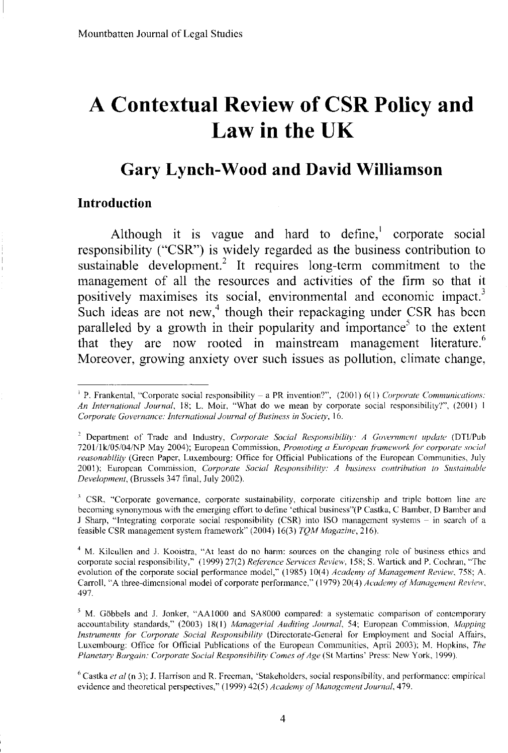# **A Contextual Review of CSR Policy and** Law in **the UK**

## **Gary Lynch-Wood and David Williamson**

#### **Introduction**

Although it is vague and hard to define, $\frac{1}{1}$  corporate social responsibility ("CSR") is widely regarded as the business contribution to sustainable development.<sup>2</sup> It requires long-term commitment to the management of all the resources and activities of the firm so that it positively maximises its social, environmental and economic impact.} Such ideas are not new, $4$  though their repackaging under CSR has been paralleled by a growth in their popularity and importance<sup>5</sup> to the extent that they are now rooted in mainstream management literature.<sup>6</sup> Moreover, growing anxiety over such issues as pollution, climate change,

<sup>4</sup> M. Kilcullen and J. Kooistra, "At least do no hann: sources on the changing role of business ethics and corporate social responsibility," (1999) 27(2) *Reference Services Review,* 158; S. Wartick and P. Cochran, "The evolution of the corporate social performance model," (1985) 10(4) *Academy of Management Review,* 758; A. Carroll, "A three-dimensional model of corporate performance," (1979) 20(4) *Academy of Management Review*. 497.

<sup>5</sup> M. Göbbels and J. Jonker, "AA1000 and SA8000 compared: a systematic comparison of contemporary accountability standards," (2003) 18( I) *Managerial Auditing Journal,* 54; European Commission, *Mapping Instruments for Corporate Social Responsibility* (Directorate-General lor Employment and Social Affairs, Luxembourg: Office for Official Publications of the European Communities, April 2003); M. Hopkins, *The Planetary Bargain: Corporate Social Responsibility Comes of Age* (St Martins' Press: New York, 1999).

<sup>&</sup>lt;sup>1</sup> P. Frankental, "Corporate social responsibility – a PR invention?", (2001) 6(1) *Corporate Communications: An International Journal*, 18; L. Moir, "What do we mean by corporate social responsibility?", (2001) 1 *Corporate Governance: International Journal ofBusiness in Society, 16.*

<sup>&</sup>lt;sup>2</sup> Department of Trade and Industry, *Corporate Social Responsibility: A Government update* (DTI/Pub nOl/lk/05104/NP May 2004); European Commission, *Promoting <sup>0</sup> Europeanli'ameworkjiJr corporate social reasonability* (Green Paper, Luxembourg: Office for Official Publications of the European Communities, July 2001); European Commission, *Corporate Social Responsibility: A business contribution to Sustainable Development,* (Brussels 347 final, July 2002).

<sup>&</sup>lt;sup>3</sup> CSR, "Corporate governance, corporate sustainability, corporate citizenship and triple bottom line are becoming synonymous with the emerging effort to define 'ethical business"(P Castka, C Bamber, D Bamber and J Sharp, "Integrating corporate social responsibility (CSR) into ISO management systems - in search of a feasible CSR management system framework" (2004) 16(3) *TQM Magazine, 216).*

<sup>6</sup> Castka *et al* (n 3); J. Harrison and R. Freeman, 'Stakeholders, social responsibility, and performance: empirical evidence and theoretical perspectives," (1999) 42(5) *Academy of Management Journal*, 479.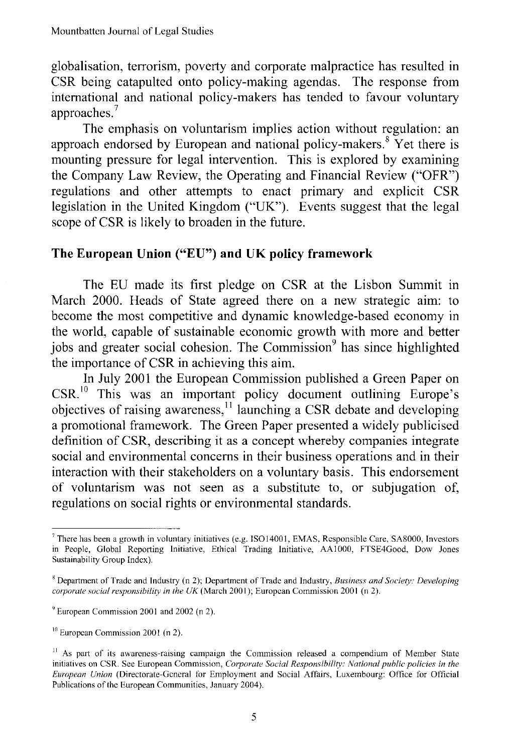globalisation, terrorism, poverty and corporate malpractice has resulted in CSR being catapulted onto policy-making agendas. The response from international and national policy-makers has tended to favour voluntary approaches.<sup>7</sup>

The emphasis on voluntarism implies action without regulation: an approach endorsed by European and national policy-makers.<sup>8</sup> Yet there is mounting pressure for legal intervention. This is explored by examining the Company Law Review, the Operating and Financial Review ("OFR") regulations and other attempts to enact primary and explicit CSR legislation in the United Kingdom ("UK"). Events suggest that the legal scope of CSR is likely to broaden in the future.

### **The European Union** ("EU") **and UK policy framework**

The EU made its first pledge on CSR at the Lisbon Summit in March 2000. Heads of State agreed there on a new strategic aim: to become the most competitive and dynamic knowledge-based economy in the world, capable of sustainable economic growth with more and better jobs and greater social cohesion. The Commission<sup>9</sup> has since highlighted the importance of CSR in achieving this aim.

In July 2001 the European Commission published a Green Paper on CSR.<sup>10</sup> This was an important policy document outlining Europe's objectives of raising awareness,<sup>11</sup> launching a CSR debate and developing a promotional framework. The Green Paper presented a widely publicised definition of CSR, describing it as a concept whereby companies integrate social and environmental concerns in their business operations and in their interaction with their stakeholders on a voluntary basis. This endorsement of voluntarism was not seen as a substitute to, or subjugation of, regulations on social rights or environmental standards.

<sup>7</sup> There has been a growth in voluntary initiatives (e.g. IS014001, EMAS, Responsible Care, SA8000, Investors in People, Global Reporting Initiative, Ethical Trading Initiative, AAlOOO, FTSE4Good, Dow Jones Sustainability Group Index).

<sup>g</sup> Department of Trade and Industry (n 2); Department of Trade and Industry, *Business and Society: Developing corporate social responsibility in the UK* (March 2001); European Commission 2001 (n 2).

<sup>&#</sup>x27;European Commission 2001 and 2002 (n 2).

<sup>&</sup>lt;sup>10</sup> European Commission 2001 (n 2).

<sup>&</sup>lt;sup>11</sup> As part of its awareness-raising campaign the Commission released a compendium of Member State initiatives on CSR. Sec European Commission, *Corporate Social Responsibility: National public policies in the European Union* (Directorate-General for Employment and Social Affairs, Luxembourg: Office for Official Publications of the European Communities, January 2004).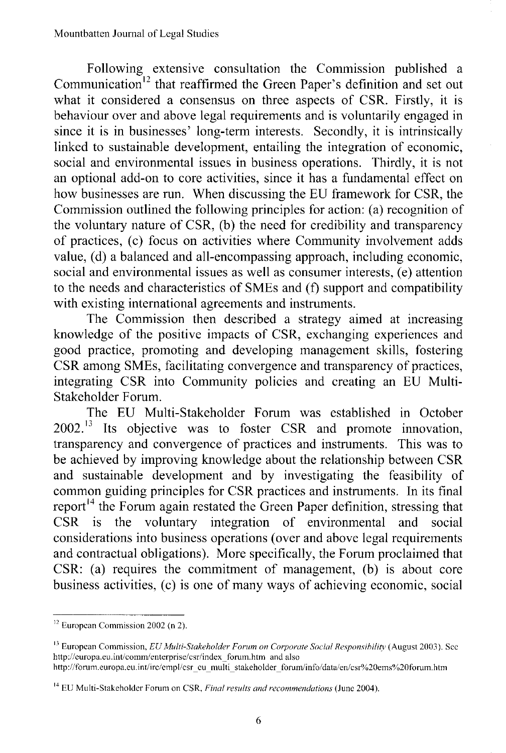Following extensive consultation the Commission published a Communication<sup>12</sup> that reaffirmed the Green Paper's definition and set out what it considered a consensus on three aspects of CSR. Firstly, it is behaviour over and above legal requirements and is voluntarily engaged in since it is in businesses' long-term interests. Secondly, it is intrinsically linked to sustainable development, entailing the integration of economic, social and environmental issues in business operations. Thirdly, it is not an optional add-on to core activities, since it has a fundamental effect on how businesses are run. When discussing the ED framework for CSR, the Commission outlined the following principles for action: (a) recognition of the voluntary nature of CSR, (b) the need for credibility and transparency of practices, (c) focus on activities where Community involvement adds value, (d) a balanced and all-encompassing approach, including economic, social and environmental issues as well as consumer interests, (e) attention to the needs and characteristics of SMEs and (f) support and compatibility with existing international agreements and instruments.

The Commission then described a strategy aimed at increasing knowledge of the positive impacts of CSR, exchanging experiences and good practice, promoting and developing management skills, fostering CSR among SMEs, facilitating convergence and transparency of practices, integrating CSR into Community policies and creating an ED Multi-Stakeholder Forum.

The ED Multi-Stakeholder Forum was established in October  $2002$ <sup>13</sup> Its objective was to foster CSR and promote innovation, transparency and convergence of practices and instruments. This was to be achieved by improving knowledge about the relationship between CSR and sustainable development and by investigating the feasibility of common guiding principles for CSR practices and instruments. In its final report<sup>14</sup> the Forum again restated the Green Paper definition, stressing that CSR is the voluntary integration of environmental and social considerations into business operations (over and above legal requirements and contractual obligations). More specifically, the Forum proclaimed that CSR: (a) requires the commitment of management, (b) is about core business activities, (c) is one of many ways of achieving economic, social

<sup>&</sup>lt;sup>12</sup> European Commission 2002 (n 2).

<sup>13</sup> European Commission, *EU Multi-Stakeholder Fomm on Corporate Social Responsihility* (August 2003). See http://europa.eu.int/comm/enterprise/csr/index forum.htm and also http://forum.europa.eu.int/irc/empl/csr\_eu\_multi\_stakeholder\_forum/info/data/en/csr%20ems%20forum.htm

<sup>14</sup> EU Multi-Stakeholder Forum on CSR, *Final results and recommendations* (June 2004).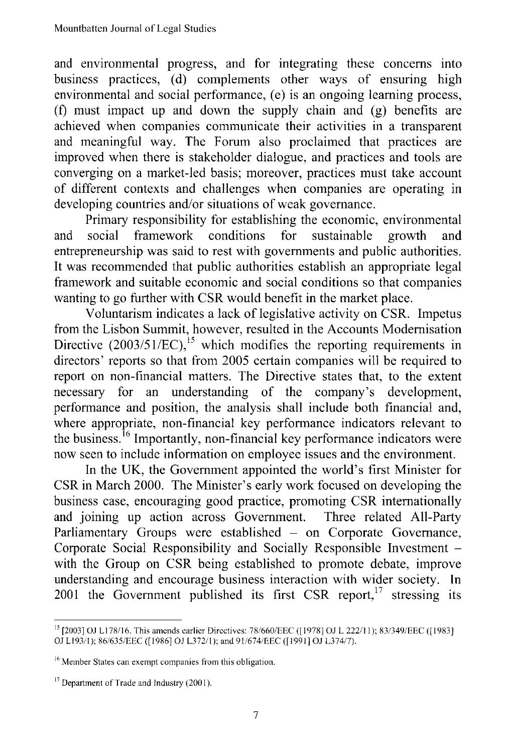and environmental progress, and for integrating these concerns into business practices, (d) complements other ways of ensuring high environmental and social performance, (e) is an ongoing learning process,  $(f)$  must impact up and down the supply chain and  $(g)$  benefits are achieved when companies communicate their activities in a transparent and meaningful way. The Forum also proclaimed that practices are improved when there is stakeholder dialogue, and practices and tools are converging on a market-led basis; moreover, practices must take account of different contexts and challenges when companies are operating in developing countries and/or situations of weak governance.

Primary responsibility for establishing the economic, environmental<br>social framework conditions for sustainable growth and and social framework conditions for sustainable growth and entrepreneurship was said to rest with governments and public authorities. It was recommended that public authorities establish an appropriate legal framework and suitable economic and social conditions so that companies wanting to go further with CSR would benefit in the market place.

Voluntarism indicates a lack of legislative activity on CSR. Impetus from the Lisbon Summit, however, resulted in the Accounts Modernisation Directive  $(2003/51/EC)$ ,<sup>15</sup> which modifies the reporting requirements in directors' reports so that from 2005 certain companies will be required to report on non-financial matters. The Directive states that, to the extent necessary for an understanding of the company's development, performance and position, the analysis shall include both financial and, where appropriate, non-financial key performance indicators relevant to the business. <sup>16</sup> Importantly, non-financial key performance indicators were now seen to include information on employee issues and the environment.

In the UK, the Government appointed the world's first Minister for CSR in March 2000. The Minister's early work focused on developing the business case, encouraging good practice, promoting CSR internationally and joining up action across Government. Three related All-Party and joining up action across Government. Parliamentary Groups were established - on Corporate Governance, Corporate Social Responsibility and Socially Responsible Investment with the Group on CSR being established to promote debate, improve understanding and encourage business interaction with wider society. In 2001 the Government published its first CSR report, $17$  stressing its

<sup>&</sup>lt;sup>13</sup> [2003] OJ L178/16. This amends earlier Directives: 78/660/EEC ([1978] OJ L 222/11); 83/349/EEC ([1983]<br>OJ L193/1); 86/635/EEC ([1986] OJ L372/1); and 91/674/EEC ([1991] OJ L374/7).

<sup>16</sup> Member States can exempt companies from this obligation.

<sup>&</sup>lt;sup>17</sup> Department of Trade and Industry (2001).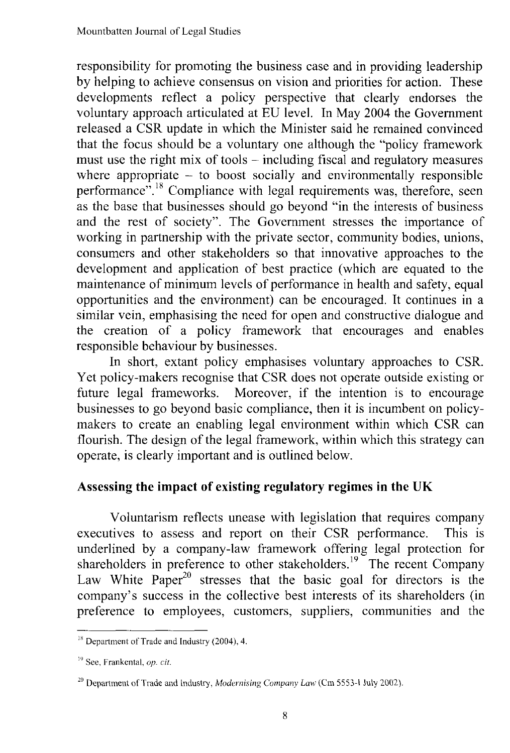responsibility for promoting the business case and in providing leadership by helping to achieve consensus on vision and priorities for action. These developments reflect a policy perspective that clearly endorses the voluntary approach articulated at ED level. **In** May 2004 the Government released a CSR update in which the Minister said he remained convinced that the focus should be a voluntary one although the "policy framework must use the right mix of tools  $-$  including fiscal and regulatory measures where appropriate  $-$  to boost socially and environmentally responsible performance".<sup>18</sup> Compliance with legal requirements was, therefore, seen as the base that businesses should go beyond "in the interests of business and the rest of society". The Government stresses the importance of working in partnership with the private sector, community bodies, unions, consumers and other stakeholders so that innovative approaches to the development and application of best practice (which are equated to the maintenance of minimum levels of performance in health and safety, equal opportunities and the environment) can be encouraged. It continues in a similar vein, emphasising the need for open and constructive dialogue and the creation of a policy framework that encourages and enables responsible behaviour by businesses.

**In** short, extant policy emphasises voluntary approaches to CSR. Yet policy-makers recognise that CSR does not operate outside existing or future legal frameworks. Moreover, if the intention is to encourage businesses to go beyond basic compliance, then it is incumbent on policymakers to create an enabling legal environment within which CSR can flourish. The design of the legal framework, within which this strategy can operate, is clearly important and is outlined below.

## **Assessing the impact of existing regulatory regimes in the UK**

Voluntarism reflects unease with legislation that requires company executives to assess and report on their CSR performance. This is underlined by a company-law framework offering legal protection for shareholders in preference to other stakeholders.<sup>19</sup> The recent Company Law White Paper<sup>20</sup> stresses that the basic goal for directors is the company's success in the collective best interests of its shareholders (in preference to employees, customers, suppliers, communities and the

<sup>&</sup>lt;sup>18</sup> Department of Trade and Industry (2004), 4.

l' See, Frankental, *op. cit.*

<sup>&</sup>lt;sup>20</sup> Department of Trade and Industry, *Modernising Company Law* (Cm 5553-1 July 2002).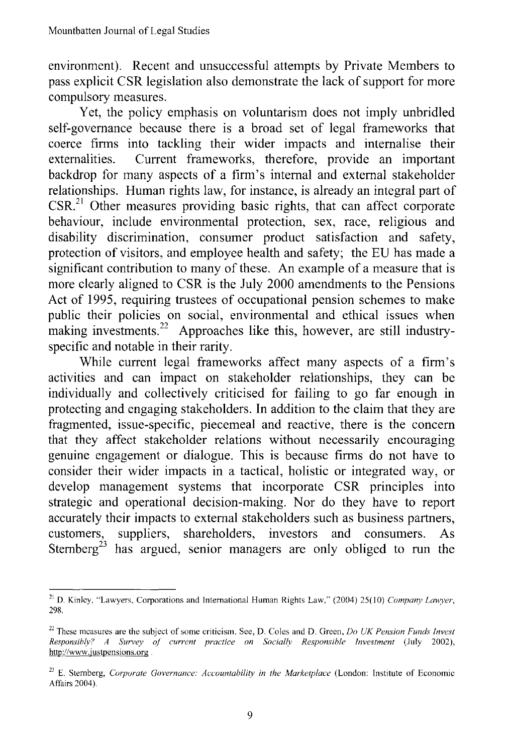environment). Recent and unsuccessful attempts by Private Members to pass explicit CSR legislation also demonstrate the lack of support for more compulsory measures.

Yet, the policy emphasis on voluntarism does not imply unbridled self-governance because there is a broad set of legal frameworks that coerce firms into tackling their wider impacts and internalise their externalities. Current frameworks, therefore, provide an important backdrop for many aspects of a firm's internal and external stakeholder relationships. Human rights law, for instance, is already an integral part of  $CSR<sub>1</sub><sup>21</sup>$  Other measures providing basic rights, that can affect corporate behaviour, include environmental protection, sex, race, religious and disability discrimination, consumer product satisfaction and safety, protection of visitors, and employee health and safety; the EU has made a significant contribution to many of these. An example of a measure that is more clearly aligned to CSR is the July 2000 amendments to the Pensions Act of 1995, requiring trustees of occupational pension schemes to make public their policies on social, environmental and ethical issues when making investments.<sup>22</sup> Approaches like this, however, are still industryspecific and notable in their rarity.

While current legal frameworks affect many aspects of a firm's activities and can impact on stakeholder relationships, they can be individually and collectively criticised for failing to go far enough in protecting and engaging stakeholders. In addition to the claim that they are fragmented, issue-specific, piecemeal and reactive, there is the concern that they affect stakeholder relations without necessarily encouraging genuine engagement or dialogue. This is because firms do not have to consider their wider impacts in a tactical, holistic or integrated way, or develop management systems that incorporate CSR principles into strategic and operational decision-making. Nor do they have to report accurately their impacts to external stakeholders such as business partners, customers, suppliers, shareholders, investors and consumers. As Sternberg<sup>23</sup> has argued, senior managers are only obliged to run the

<sup>21</sup> D. Kinley, "Lawyers, Corporations and International Human Rights Law," (2004) 25(10) *Company Lawyer,* 298.

<sup>22</sup> These measures are the subject of some criticism. See, D. Coles and D. Green, *Do UK Pension Funds Invest Responsiblv? A Survey* 01' *current practice on Socially Responsible Investment* (July 2002), http://www.justpensions.org

<sup>23</sup> E. Sternberg, *Corporate Governance: Accountability in the Marketplace* (London: Institute of Economic Affairs 2004).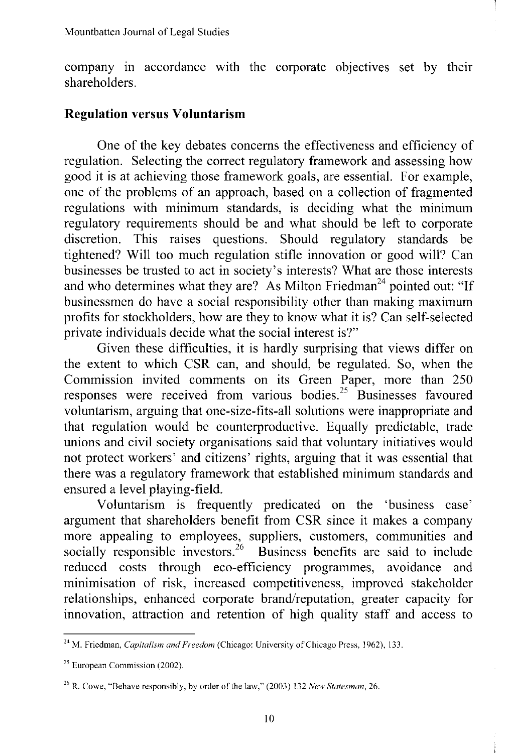company in accordance with the corporate objectives set by their shareholders.

### **Regulation versus Voluntarism**

One of the key debates concerns the effectiveness and efficiency of regulation. Selecting the correct regulatory framework and assessing how good it is at achieving those framework goals, are essential. For example, one of the problems of an approach, based on a collection of fragmented regulations with minimum standards, is deciding what the minimum regulatory requirements should be and what should be left to corporate discretion. This raises questions. Should regulatory standards be tightened? Will too much regulation stifle innovation or good will? Can businesses be trusted to act in society's interests? What are those interests and who determines what they are? As Milton Friedman<sup>24</sup> pointed out: "If businessmen do have a social responsibility other than making maximum profits for stockholders, how are they to know what it is? Can self-selected private individuals decide what the social interest is?"

Given these difficulties, it is hardly surprising that views differ on the extent to which CSR can, and should, be regulated. So, when the Commission invited comments on its Green Paper, more than 250 responses were received from various bodies.<sup>25</sup> Businesses favoured voluntarism, arguing that one-size-fits-all solutions were inappropriate and that regulation would be counterproductive. Equally predictable, trade unions and civil society organisations said that voluntary initiatives would not protect workers' and citizens' rights, arguing that it was essential that there was a regulatory framework that established minimum standards and ensured a level playing-field.

Voluntarism is frequently predicated on the 'business case' argument that shareholders benefit from CSR since it makes a company more appealing to employees, suppliers, customers, communities and socially responsible investors.<sup>26</sup> Business benefits are said to include reduced costs through eco-efficiency programmes, avoidance and minimisation of risk, increased competitiveness, improved stakeholder relationships, enhanced corporate brand/reputation, greater capacity for innovation, attraction and retention of high quality staff and access to

<sup>24</sup> M. Friedman, *Capitalism and Freedom* (Chicago: University ofChicago Press, 1962), 133.

<sup>25</sup> European Commission (2002).

<sup>&</sup>lt;sup>26</sup> R. Cowe, "Behave responsibly, by order of the law," (2003) 132 *New Statesman*, 26.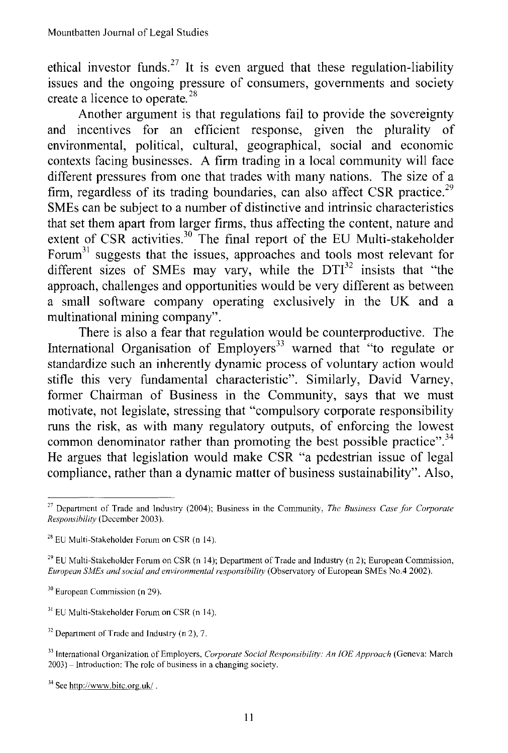ethical investor funds.<sup>27</sup> It is even argued that these regulation-liability issues and the ongoing pressure of consumers, governments and society create a licence to operate.<sup>28</sup>

Another argument is that regulations fail to provide the sovereignty and incentives for an efficient response, given the plurality of environmental, political, cultural, geographical, social and economic contexts facing businesses. A firm trading in a local community will face different pressures from one that trades with many nations. The size of a firm, regardless of its trading boundaries, can also affect CSR practice.<sup>29</sup> SMEs can be subject to a number of distinctive and intrinsic characteristics that set them apart from larger firms, thus affecting the content, nature and extent of CSR activities.<sup>30</sup> The final report of the EU Multi-stakeholder Forum<sup>31</sup> suggests that the issues, approaches and tools most relevant for different sizes of SMEs may vary, while the  $DTI<sup>32</sup>$  insists that "the approach, challenges and opportunities would be very different as between a small software company operating exclusively in the UK and a multinational mining company".

There is also a fear that regulation would be counterproductive. The International Organisation of  $Emplovers<sup>33</sup>$  warned that "to regulate or standardize such an inherently dynamic process of voluntary action would stifle this very fundamental characteristic". Similarly, David Varney, former Chairman of Business in the Community, says that we must motivate, not legislate, stressing that "compulsory corporate responsibility runs the risk, as with many regulatory outputs, of enforcing the lowest common denominator rather than promoting the best possible practice".<sup>34</sup> He argues that legislation would make CSR "a pedestrian issue of legal compliance, rather than a dynamic matter of business sustainability". Also,

<sup>31</sup> EU Multi-Stakeholder Forum on CSR (n 14).

<sup>27</sup> Department of Trade and Industry (2004); Business in the Community, *The Business Case for Corporate Responsihility* (December 2003).

 $28$  EU Multi-Stakeholder Forum on CSR (n 14).

<sup>&</sup>lt;sup>29</sup> EU Multi-Stakeholder Forum on CSR (n 14); Department of Trade and Industry (n 2); European Commission, *European SMEs and social and environmental responsibility* (Observatory of European SMEs No.4 2002).

<sup>30</sup> European Commission (n 29).

 $32$  Department of Trade and Industry (n 2), 7.

<sup>33</sup> International Organization of Employers, *Corporate Social Responsihility: An IDE Approach* (Geneva: March 2003) -Introduction: The role of business in a changing society.

<sup>34</sup> See http://www.bitc.org.uk/ .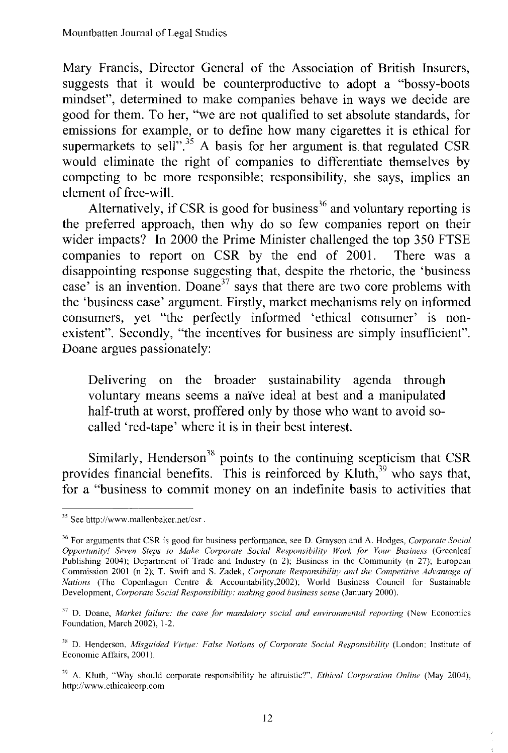Mary Francis, Director General of the Association of British Insurers, suggests that it would be counterproductive to adopt a "bossy-boots mindset", determined to make companies behave in ways we decide are good for them. To her, "we are not qualified to set absolute standards, for emissions for example, or to define how many cigarettes it is ethical for supermarkets to sell".<sup>35</sup> A basis for her argument is that regulated CSR would eliminate the right of companies to differentiate themselves by competing to be more responsible; responsibility, she says, implies an element of free-will.

Alternatively, if CSR is good for business<sup>36</sup> and voluntary reporting is the preferred approach, then why do so few companies report on their wider impacts? In 2000 the Prime Minister challenged the top 350 FTSE companies to report on CSR by the end of 2001. There was a disappointing response suggesting that, despite the rhetoric, the 'business case' is an invention. Doane<sup>37</sup> says that there are two core problems with the 'business case' argument. Firstly, market mechanisms rely on informed consumers, yet "the perfectly informed 'ethical consumer' is nonexistent". Secondly, "the incentives for business are simply insufficient". Doane argues passionately:

Delivering on the broader sustainability agenda through voluntary means seems a naïve ideal at best and a manipulated half-truth at worst, proffered only by those who want to avoid socalled 'red-tape' where it is in their best interest.

Similarly, Henderson $38$  points to the continuing scepticism that CSR provides financial benefits. This is reinforced by  $\tilde{K}$ luth, $39$  who says that, for a "business to commit money on an indefinite basis to activities that

<sup>&</sup>lt;sup>35</sup> See http://www.mallenbaker.net/csr.

<sup>36</sup> For arguments that CSR is good for business performance, see D. Grayson and A. Hodges, *Corporate Social Opportunity* <sup>I</sup> *Seven Steps to Make Corporate Social Re,ponsibility Work* .ft" *Your Business* (Greenleaf Publishing 2004); Department of Trade and Industry (n 2); Business in the Community (n 27); European Commission 2001 (n 2); T. Swift and S. Zadek, *Corporate Responsibility and the Competitive Advantage* of *Nations* (The Copenhagen Centre & Aeeountability,2002); World Business Council for Sustainable Development, *Corporate Social Responsibility: making good business sense* (January 2000).

<sup>&</sup>lt;sup>37</sup> D. Doane, *Market failure: the case for mandatory social and environmental reporting (New Economics* Foundation, March 2002), 1-2.

<sup>&</sup>quot; D. Henderson, *Misguided Virtue: False Notions of Corporate Social Responsibility* (London: Institute of Economic Affairs, 2001 ).

<sup>&</sup>lt;sup>39</sup> A. Kluth, "Why should corporate responsibility be altruistic?", *Ethical Corporation Online* (May 2004), http://www.ethicalcorp.eom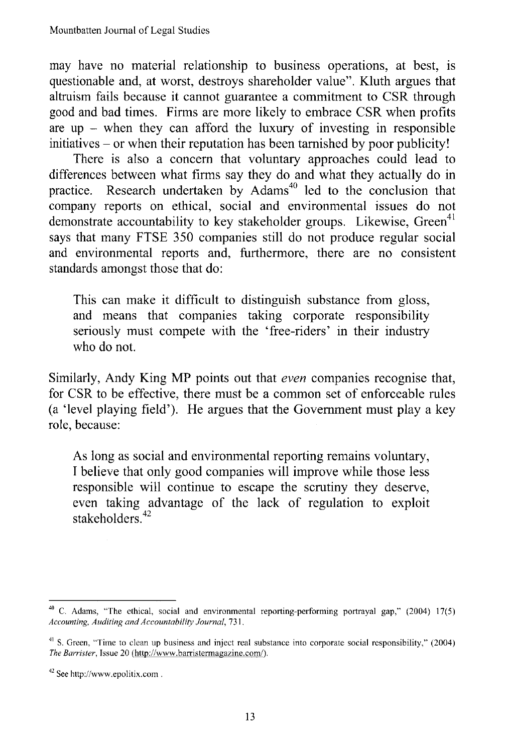may have no material relationship to business operations, at best, is questionable and, at worst, destroys shareholder value". Kluth argues that altruism fails because it cannot guarantee a commitment to CSR through good and bad times. Firms are more likely to embrace CSR when profits are up  $-$  when they can afford the luxury of investing in responsible initiatives - or when their reputation has been tarnished by poor publicity!

There is also a concern that voluntary approaches could lead to differences between what firms say they do and what they actually do in practice. Research undertaken by  $Adams<sup>40</sup>$  led to the conclusion that company reports on ethical, social and environmental issues do not demonstrate accountability to key stakeholder groups. Likewise,  $Green<sup>41</sup>$ says that many FTSE 350 companies still do not produce regular social and environmental reports and, furthermore, there are no consistent standards amongst those that do:

This can make it difficult to distinguish substance from gloss, and means that companies taking corporate responsibility seriously must compete with the 'free-riders' in their industry who do not.

Similarly, Andy King MP points out that *even* companies recognise that, for CSR to be effective, there must be a common set of enforceable rules (a 'level playing field'). He argues that the Government must playa key role, because:

As long as social and environmental reporting remains voluntary, I believe that only good companies will improve while those less responsible will continue to escape the scrutiny they deserve, even taking advantage of the lack of regulation to exploit stakeholders $42$ 

<sup>40</sup> C. Adams, "The ethical, social and environmental reporting-performing portrayal gap," (2004) 17(5) *Accounting, Auditing and Accountability Journal, 731.*

<sup>&</sup>lt;sup>41</sup> S. Green, "Time to clean up business and inject real substance into corporate social responsibility," (2004) *The Barrister,* Issue 20 (http://www.barristermagazine.com/).

<sup>42</sup> See http://www.epolitix.com .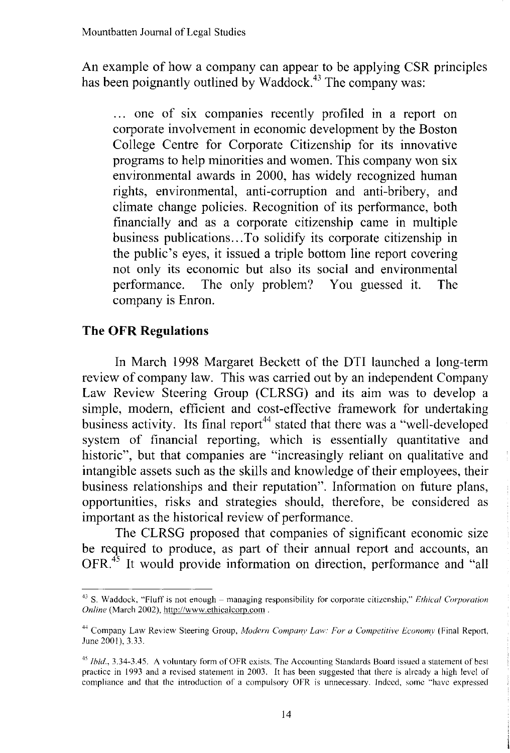An example of how a company can appear to be applying CSR principles has been poignantly outlined by Waddock.<sup>43</sup> The company was:

... one of six companies recently profiled in a report on corporate involvement in economic development by the Boston College Centre for Corporate Citizenship for its innovative programs to help minorities and women. This company won six environmental awards in 2000, has widely recognized human rights, environmental, anti-corruption and anti-bribery, and climate change policies. Recognition of its performance, both financially and as a corporate citizenship came in multiple business publications...To solidify its corporate citizenship in the public's eyes, it issued a triple bottom line report covering not only its economic but also its social and environmental performance. The only problem? You guessed it. The company is Enron.

## **The OFR Regulations**

In March 1998 Margaret Beckett of the DTI launched a long-term review of company law. This was carried out by an independent Company Law Review Steering Group (CLRSG) and its aim was to develop a simple, modem, efficient and cost-effective framework for undertaking business activity. Its final report<sup>44</sup> stated that there was a "well-developed" system of financial reporting, which is essentially quantitative and historic", but that companies are "increasingly reliant on qualitative and intangible assets such as the skills and knowledge of their employees, their business relationships and their reputation". Information on future plans, opportunities, risks and strategies should, therefore, be considered as important as the historical review of performance.

The CLRSG proposed that companies of significant economic size be required to produce, as part of their annual report and accounts, an OFR.<sup>45</sup> It would provide information on direction, performance and "all

<sup>43</sup> S. Waddock, "Fluff is not enough - managing responsibility for corporate citizenship," *Ethical Corporation Online* (March 2002), *http://www.ethicalcom.com .*

<sup>44</sup> Company Law Review Steering Group, *Modern Companv Law: For a Competitive Economy* (Final Report, June 2001), 3.33.

<sup>&</sup>lt;sup>45</sup> *Ibid.*, 3.34-3.45. A voluntary form of OFR exists. The Accounting Standards Board issued a statement of best practice in 1993 and a revised statement in 2003. It has been suggested that there is already a high level of compliance and that the introduction of a compulsory OFR is unnecessary. Indeed, some "have expressed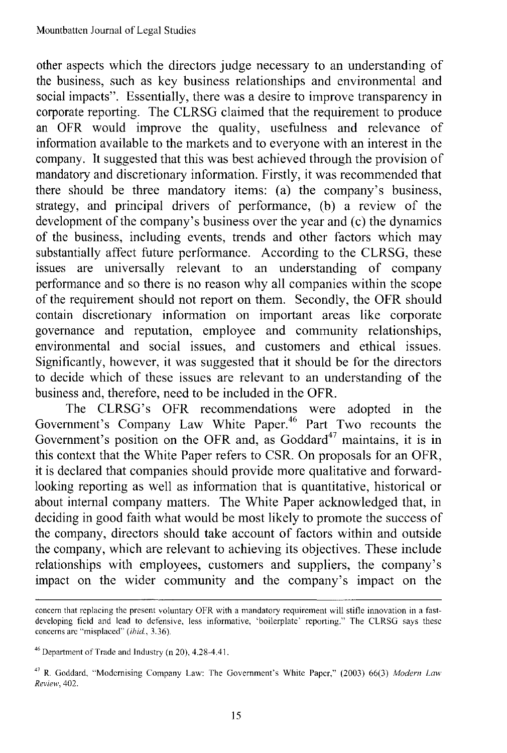other aspects which the directors judge necessary to an understanding of the business, such as key business relationships and environmental and social impacts". Essentially, there was a desire to improve transparency in corporate reporting. The CLRSG claimed that the requirement to produce an OFR would improve the quality, usefulness and relevance of information available to the markets and to everyone with an interest in the company. It suggested that this was best achieved through the provision of mandatory and discretionary information. Firstly, it was recommended that there should be three mandatory items: (a) the company's business, strategy, and principal drivers of performance, (b) a review of the development of the company's business over the year and  $(c)$  the dynamics of the business, including events, trends and other factors which may substantially affect future performance. According to the CLRSG, these issues are universally relevant to an understanding of company performance and so there is no reason why all companies within the scope of the requirement should not report on them. Secondly, the OFR should contain discretionary information on important areas like corporate governance and reputation, employee and community relationships, environmental and social issues, and customers and ethical issues. Significantly, however, it was suggested that it should be for the directors to decide which of these issues are relevant to an understanding of the business and, therefore, need to be included in the OFR.

The CLRSG's OFR recommendations were adopted in the Government's Company Law White Paper.<sup>46</sup> Part Two recounts the Government's position on the OFR and, as Goddard<sup>47</sup> maintains, it is in this context that the White Paper refers to CSR. On proposals for an OFR, it is declared that companies should provide more qualitative and forwardlooking reporting as well as information that is quantitative, historical or about internal company matters. The White Paper acknowledged that, in deciding in good faith what would be most likely to promote the success of the company, directors should take account of factors within and outside the company, which are relevant to achieving its objectives. These include relationships with employees, customers and suppliers, the company's impact on the wider community and the company's impact on the

concern that replacing the present voluntary OFR with a mandatory requirement will stifle innovation in a fastdeveloping field and lead to defensive, less informative, 'boilerplate' reporting." The CLRSG says these concerns arc "misplaced" *(ihid, 3.36).*

<sup>46</sup> Department of Trade and Industry (n 20), 4.28-4.41.

<sup>47</sup> R. Goddard, "Modernising Company Law: The Government's White Paper." (2003) 66(3) *Modern Law Review,* 402.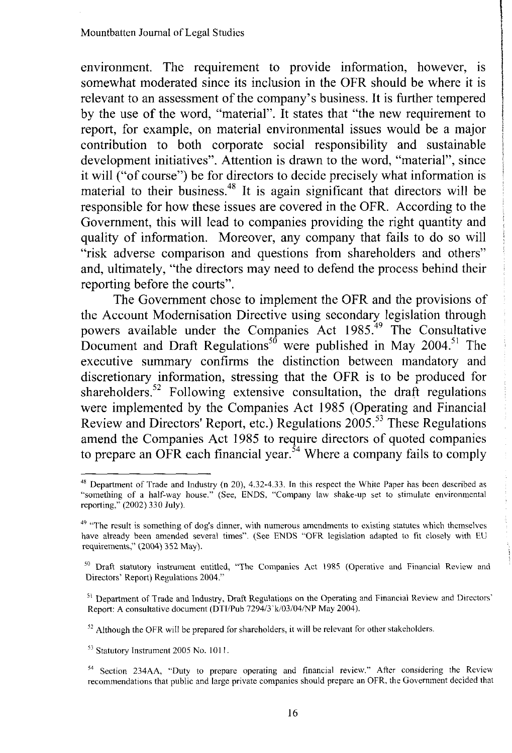environment. The requirement to provide information, however, is somewhat moderated since its inclusion in the OFR should be where it is relevant to an assessment of the company's business. It is further tempered by the use of the word, "material". It states that "the new requirement to report, for example, on material environmental issues would be a major contribution to both corporate social responsibility and sustainable development initiatives". Attention is drawn to the word, "material", since it will ("of course") be for directors to decide precisely what information is material to their business.<sup>48</sup> It is again significant that directors will be responsible for how these issues are covered in the OFR. According to the Government, this will lead to companies providing the right quantity and quality of information. Moreover, any company that fails to do so will "risk adverse comparison and questions from shareholders and others" and, ultimately, "the directors may need to defend the process behind their reporting before the courts".

The Government chose to implement the OFR and the provisions of the Account Modernisation Directive using secondary legislation through powers available under the Companies Act 1985.<sup>49</sup> The Consultative Document and Draft Regulations<sup>50</sup> were published in May 2004.<sup>51</sup> The executive summary confirms the distinction between mandatory and discretionary information, stressing that the OFR is to be produced for shareholders.<sup>52</sup> Following extensive consultation, the draft regulations were implemented by the Companies Act 1985 (Operating and Financial Review and Directors' Report, etc.) Regulations 2005. <sup>53</sup> These Regulations amend the Companies Act 1985 to require directors of quoted companies to prepare an OFR each financial year.<sup>54</sup> Where a company fails to comply

 $52$  Although the OFR will be prepared for shareholders, it will be relevant for other stakeholders.

<sup>53</sup> Statutory Instrument 2005 No. 101 I.

<sup>54</sup> Section 234AA, "Duty to prepare operating and financial review." After considering the Review recommendations that public and large private companies should prepare an OFR, the Government decided that

 $48$  Department of Trade and Industry (n 20), 4.32-4.33. In this respect the White Paper has been described as "something of a half-way house." (See, ENDS, "Company law shake-up set to stimulate environmental reporting," (2002) 330 July).

<sup>&</sup>lt;sup>49</sup> "The result is something of dog's dinner, with numerous amendments to existing statutes which themselves have already been amended several times". (See ENDS "OFR legislation adapted to fit closely with ED requirements," (2004) 352 May).

<sup>&</sup>lt;sup>50</sup> Draft statutory instrument entitled, "The Companies Act 1985 (Operative and Financial Review and Directors' Report) Regulations 2004."

<sup>&</sup>lt;sup>51</sup> Department of Trade and Industry, Draft Regulations on the Operating and Financial Review and Directors' Report: A consultative document (DTI/Pub 7294/3'k/03/04/NP May 2004).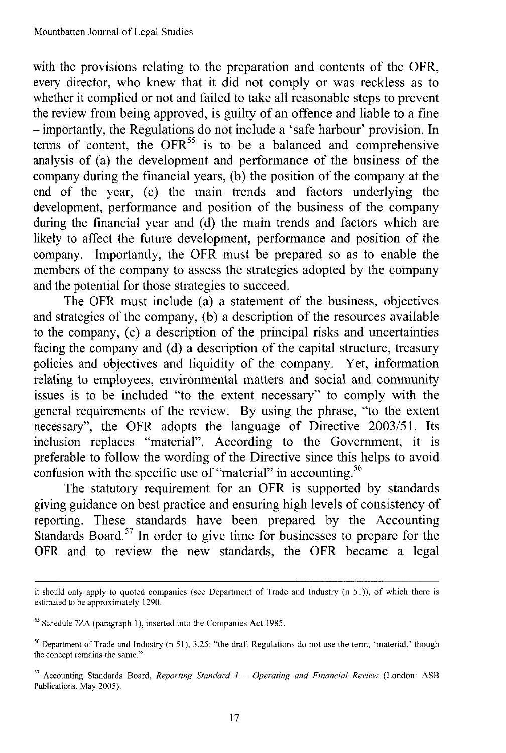with the provisions relating to the preparation and contents of the OFR, every director, who knew that it did not comply or was reckless as to whether it complied or not and failed to take all reasonable steps to prevent the review from being approved, is guilty of an offence and liable to a fine - importantly, the Regulations do not include a 'safe harbour' provision. In terms of content, the  $OFR<sup>55</sup>$  is to be a balanced and comprehensive analysis of (a) the development and performance of the business of the company during the financial years, (b) the position of the company at the end of the year, (c) the main trends and factors underlying the development, performance and position of the business of the company during the financial year and (d) the main trends and factors which are likely to affect the future development, performance and position of the company. Importantly, the OFR must be prepared so as to enable the members of the company to assess the strategies adopted by the company and the potential for those strategies to succeed.

The OFR must include (a) a statement of the business, objectives and strategies of the company, (b) a description of the resources available to the company, (c) a description of the principal risks and uncertainties facing the company and (d) a description of the capital structure, treasury policies and objectives and liquidity of the company. Yet, information relating to employees, environmental matters and social and community issues is to be included "to the extent necessary" to comply with the general requirements of the review. By using the phrase, "to the extent necessary", the OFR adopts the language of Directive 2003/51. Its inclusion replaces "material". According to the Government, it is preferable to follow the wording of the Directive since this helps to avoid confusion with the specific use of "material" in accounting.<sup>56</sup>

The statutory requirement for an OFR is supported by standards giving guidance on best practice and ensuring high levels of consistency of reporting. These standards have been prepared by the Accounting Standards Board.<sup>57</sup> In order to give time for businesses to prepare for the OFR and to review the new standards, the OFR became a legal

it should only apply to quoted companies (see Department of Trade and Industry (n 51». of which there is estimated to be approximately 1290.

<sup>55</sup> Schedule 7ZA (paragraph I), inserted into the Companies Act 1985.

<sup>&</sup>lt;sup>56</sup> Department of Trade and Industry  $(n 51)$ ,  $3.25$ : "the draft Regulations do not use the term, 'material,' though the concept remains the same."

<sup>57</sup> Accounting Standards Board, *Reporting Standard* I - *Operating and Financial Review* (London: ASB Publications, May 2005).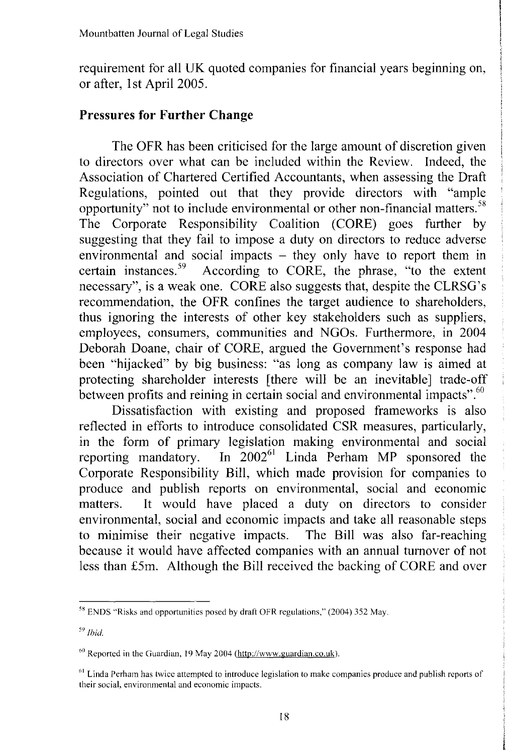requirement for all UK quoted companies for financial years beginning on, or after, 1st April 2005.

## Pressures for Further Change

The OFR has been criticised for the large amount of discretion given to directors over what can be included within the Review. Indeed, the Association of Chartered Certified Accountants, when assessing the Draft Regulations, pointed out that they provide directors with "ample opportunity" not to include environmental or other non-financial matters. <sup>58</sup> The Corporate Responsibility Coalition (CORE) goes further by suggesting that they fail to impose a duty on directors to reduce adverse environmental and social impacts – they only have to report them in certain instances.<sup>39</sup> According to CORE, the phrase, "to the extent necessary", is a weak one. CORE also suggests that, despite the CLRSG's recommendation, the OFR confines the target audience to shareholders, thus ignoring the interests of other key stakeholders such as suppliers, employees, consumers, communities and NGOs. Furthermore, in 2004 Deborah Doane, chair of CORE, argued the Government's response had been "hijacked" by big business: "as long as company law is aimed at protecting shareholder interests [there will be an inevitable] trade-off between profits and reining in certain social and environmental impacts".<sup>60</sup>

Dissatisfaction with existing and proposed frameworks is also reflected in efforts to introduce consolidated CSR measures, particularly, in the form of primary legislation making environmental and social reporting mandatory. In 2002<sup>61</sup> Linda Perham MP sponsored the Corporate Responsibility Bill, which made provision for companies to produce and publish reports on environmental, social and economic matters. It would have placed a duty on directors to consider environmental, social and economic impacts and take all reasonable steps to minimise their negative impacts. The Bill was also far-reaching because it would have affected companies with an annual turnover of not less than £5m. Although the Bill received the backing of CORE and over

 $58$  ENDS "Risks and opportunities posed by draft OFR regulations," (2004) 352 May.

*<sup>59</sup> Ibid.*

 $60$  Reported in the Guardian, 19 May 2004 (http://www.guardian.co.uk).

<sup>&</sup>lt;sup>61</sup> Linda Perham has twice attempted to introduce legislation to make companies produce and publish reports of their social, environmental and economic impacts.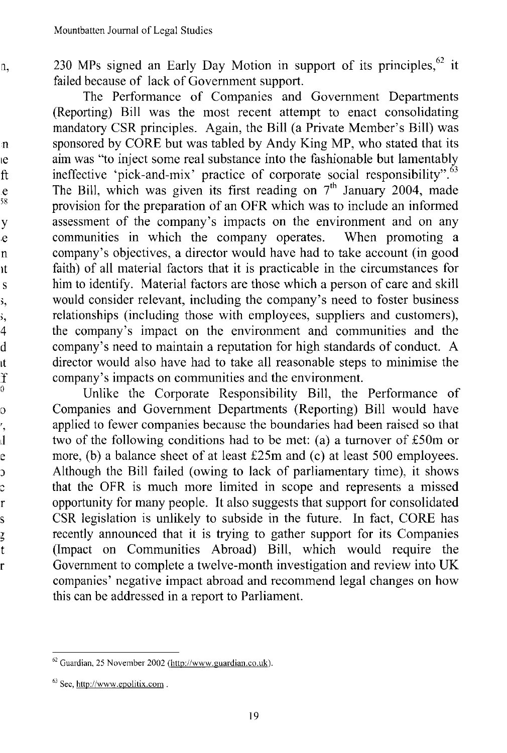230 MPs signed an Early Day Motion in support of its principles,  $62$  it failed because of lack of Government support.

The Performance of Companies and Government Departments (Reporting) Bill was the most recent attempt to enact consolidating mandatory CSR principles. Again, the Bill (a Private Member's Bill) was sponsored by CORE but was tabled by Andy King MP, who stated that its aim was "to inject some real substance into the fashionable but lamentably ineffective 'pick-and-mix' practice of corporate social responsibility". $63$ The Bill, which was given its first reading on  $7<sup>th</sup>$  January 2004, made provision for the preparation of an OFR which was to include an informed assessment of the company's impacts on the environment and on any communities in which the company operates. When promoting a  $commu$  the company operates. company's objectives, a director would have had to take account (in good faith) of all material factors that it is practicable in the circumstances for him to identify. Material factors are those which a person of care and skill would consider relevant, including the company's need to foster business relationships (including those with employees, suppliers and customers), the company's impact on the environment and communities and the company's need to maintain a reputation for high standards of conduct. A director would also have had to take all reasonable steps to minimise the company's impacts on communities and the environment.

Unlike the Corporate Responsibility Bill, the Performance of Companies and Government Departments (Reporting) Bill would have applied to fewer companies because the boundaries had been raised so that two of the following conditions had to be met: (a) a turnover of £50m or more, (b) a balance sheet of at least £25m and (c) at least 500 employees. Although the Bill failed (owing to lack of parliamentary time), it shows that the OFR is much more limited in scope and represents a missed opportunity for many people. It also suggests that support for consolidated CSR legislation is unlikely to subside in the future. In fact, CORE has recently announced that it is trying to gather support for its Companies (Impact on Communities Abroad) Bill, which would require the Government to complete a twelve-month investigation and review into UK companies' negative impact abroad and recommend legal changes on how this can be addressed in a report to Parliament.

<sup>62</sup> Guardian. 25 November 2002 (http://www.guardian.co.uk).

 $63$  Sec, http://www.epolitix.com.